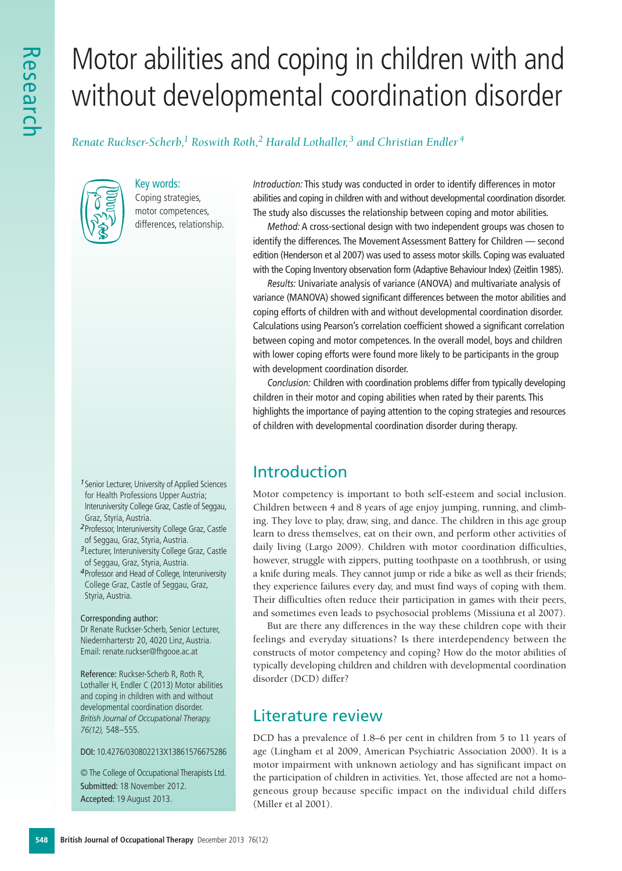# Motor abilities and coping in children with and without developmental coordination disorder

## *Renate Ruckser-Scherb, <sup>1</sup> Roswith Roth, <sup>2</sup> Harald Lothaller, <sup>3</sup> and Christian Endler <sup>4</sup>*



Key words: Coping strategies, motor competences, differences, relationship.

*<sup>1</sup>*Senior Lecturer, University of Applied Sciences for Health Professions Upper Austria; Interuniversity College Graz, Castle of Seggau, Graz, Styria, Austria.

- *<sup>2</sup>*Professor, Interuniversity College Graz, Castle of Seggau, Graz, Styria, Austria.
- *<sup>3</sup>*Lecturer, Interuniversity College Graz, Castle of Seggau, Graz, Styria, Austria.
- *<sup>4</sup>*Professor and Head of College, Interuniversity College Graz, Castle of Seggau, Graz, Styria, Austria.

#### Corresponding author:

Dr Renate Ruckser-Scherb, Senior Lecturer, Niedernharterstr 20, 4020 Linz, Austria. Email: renate.ruckser@fhgooe.ac.at

Reference: Ruckser-Scherb R, Roth R, Lothaller H, Endler C (2013) Motor abilities and coping in children with and without developmental coordination disorder. *British Journal of Occupational Therapy, 76(12),* 548–555.

DOI: 10.4276/030802213X13861576675286

© The College of Occupational Therapists Ltd. Submitted: 18 November 2012. Accepted: 19 August 2013.

*Introduction:* This study was conducted in order to identify differences in motor abilities and coping in children with and without developmental coordination disorder. The study also discusses the relationship between coping and motor abilities.

*Method:* A cross-sectional design with two independent groups was chosen to identify the differences. The Movement Assessment Battery for Children — second edition (Henderson et al 2007) was used to assess motor skills. Coping was evaluated with the Coping Inventory observation form (Adaptive Behaviour Index) (Zeitlin 1985).

*Results:* Univariate analysis of variance (ANOVA) and multivariate analysis of variance (MANOVA) showed significant differences between the motor abilities and coping efforts of children with and without developmental coordination disorder. Calculations using Pearson's correlation coefficient showed a significant correlation between coping and motor competences. In the overall model, boys and children with lower coping efforts were found more likely to be participants in the group with development coordination disorder.

*Conclusion:* Children with coordination problems differ from typically developing children in their motor and coping abilities when rated by their parents. This highlights the importance of paying attention to the coping strategies and resources of children with developmental coordination disorder during therapy.

# Introduction

Motor competency is important to both self-esteem and social inclusion. Children between 4 and 8 years of age enjoy jumping, running, and climbing. They love to play, draw, sing, and dance. The children in this age group learn to dress themselves, eat on their own, and perform other activities of daily living (Largo 2009). Children with motor coordination difficulties, however, struggle with zippers, putting toothpaste on a toothbrush, or using a knife during meals. They cannot jump or ride a bike as well as their friends; they experience failures every day, and must find ways of coping with them. Their difficulties often reduce their participation in games with their peers, and sometimes even leads to psychosocial problems (Missiuna et al 2007).

But are there any differences in the way these children cope with their feelings and everyday situations? Is there interdependency between the constructs of motor competency and coping? How do the motor abilities of typically developing children and children with developmental coordination disorder (DCD) differ?

# Literature review

DCD has a prevalence of 1.8–6 per cent in children from 5 to 11 years of age (Lingham et al 2009, American Psychiatric Association 2000). It is a motor impairment with unknown aetiology and has significant impact on the participation of children in activities. Yet, those affected are not a homogeneous group because specific impact on the individual child differs (Miller et al 2001).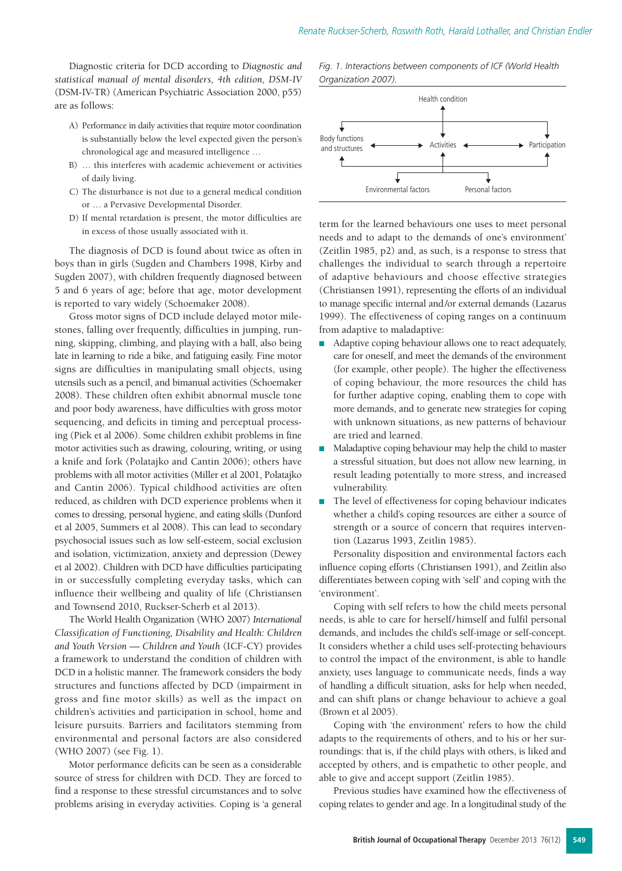Diagnostic criteria for DCD according to *Diagnostic and statistical manual of mental disorders, 4th edition, DSM-IV* (DSM-IV-TR) (American Psychiatric Association 2000, p55) are as follows:

- A) Performance in daily activities that require motor coordination is substantially below the level expected given the person's chronological age and measured intelligence …
- B) … this interferes with academic achievement or activities of daily living.
- C) The disturbance is not due to a general medical condition or … a Pervasive Developmental Disorder.
- D) If mental retardation is present, the motor difficulties are in excess of those usually associated with it.

The diagnosis of DCD is found about twice as often in boys than in girls (Sugden and Chambers 1998, Kirby and Sugden 2007), with children frequently diagnosed between 5 and 6 years of age; before that age, motor development is reported to vary widely (Schoemaker 2008).

Gross motor signs of DCD include delayed motor milestones, falling over frequently, difficulties in jumping, running, skipping, climbing, and playing with a ball, also being late in learning to ride a bike, and fatiguing easily. Fine motor signs are difficulties in manipulating small objects, using utensils such as a pencil, and bimanual activities (Schoemaker 2008). These children often exhibit abnormal muscle tone and poor body awareness, have difficulties with gross motor sequencing, and deficits in timing and perceptual processing (Piek et al 2006). Some children exhibit problems in fine motor activities such as drawing, colouring, writing, or using a knife and fork (Polatajko and Cantin 2006); others have problems with all motor activities (Miller et al 2001, Polatajko and Cantin 2006). Typical childhood activities are often reduced, as children with DCD experience problems when it comes to dressing, personal hygiene, and eating skills (Dunford et al 2005, Summers et al 2008). This can lead to secondary psychosocial issues such as low self-esteem, social exclusion and isolation, victimization, anxiety and depression (Dewey et al 2002). Children with DCD have difficulties participating in or successfully completing everyday tasks, which can influence their wellbeing and quality of life (Christiansen and Townsend 2010, Ruckser-Scherb et al 2013).

The World Health Organization (WHO 2007) *International Classification of Functioning, Disability and Health: Children and Youth Version — Children and Youth* (ICF-CY) provides a framework to understand the condition of children with DCD in a holistic manner. The framework considers the body structures and functions affected by DCD (impairment in gross and fine motor skills) as well as the impact on children's activities and participation in school, home and leisure pursuits. Barriers and facilitators stemming from environmental and personal factors are also considered (WHO 2007) (see Fig. 1).

Motor performance deficits can be seen as a considerable source of stress for children with DCD. They are forced to find a response to these stressful circumstances and to solve problems arising in everyday activities. Coping is 'a general *Fig. 1. Interactions between components of ICF (World Health Organization 2007).*



term for the learned behaviours one uses to meet personal needs and to adapt to the demands of one's environment' (Zeitlin 1985, p2) and, as such, is a response to stress that challenges the individual to search through a repertoire of adaptive behaviours and choose effective strategies (Christiansen 1991), representing the efforts of an individual to manage specific internal and/or external demands (Lazarus 1999). The effectiveness of coping ranges on a continuum from adaptive to maladaptive:

- Adaptive coping behaviour allows one to react adequately, care for oneself, and meet the demands of the environment (for example, other people). The higher the effectiveness of coping behaviour, the more resources the child has for further adaptive coping, enabling them to cope with more demands, and to generate new strategies for coping with unknown situations, as new patterns of behaviour are tried and learned.
- Maladaptive coping behaviour may help the child to master a stressful situation, but does not allow new learning, in result leading potentially to more stress, and increased vulnerability.
- **■** The level of effectiveness for coping behaviour indicates whether a child's coping resources are either a source of strength or a source of concern that requires intervention (Lazarus 1993, Zeitlin 1985).

Personality disposition and environmental factors each influence coping efforts (Christiansen 1991), and Zeitlin also differentiates between coping with 'self' and coping with the 'environment'.

Coping with self refers to how the child meets personal needs, is able to care for herself/himself and fulfil personal demands, and includes the child's self-image or self-concept. It considers whether a child uses self-protecting behaviours to control the impact of the environment, is able to handle anxiety, uses language to communicate needs, finds a way of handling a difficult situation, asks for help when needed, and can shift plans or change behaviour to achieve a goal (Brown et al 2005).

Coping with 'the environment' refers to how the child adapts to the requirements of others, and to his or her surroundings: that is, if the child plays with others, is liked and accepted by others, and is empathetic to other people, and able to give and accept support (Zeitlin 1985).

Previous studies have examined how the effectiveness of coping relates to gender and age. In a longitudinal study of the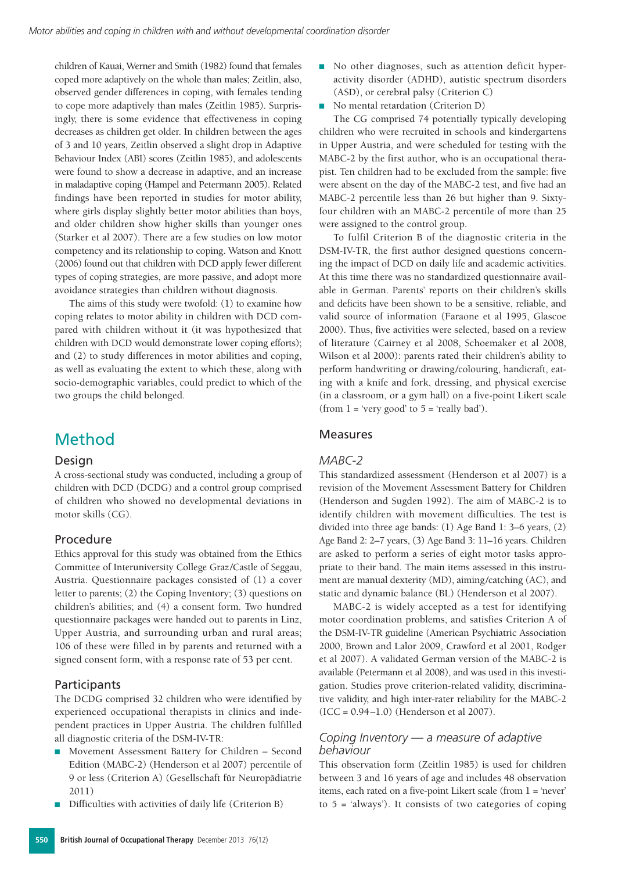children of Kauai, Werner and Smith (1982) found that females coped more adaptively on the whole than males; Zeitlin, also, observed gender differences in coping, with females tending to cope more adaptively than males (Zeitlin 1985). Surprisingly, there is some evidence that effectiveness in coping decreases as children get older. In children between the ages of 3 and 10 years, Zeitlin observed a slight drop in Adaptive Behaviour Index (ABI) scores (Zeitlin 1985), and adolescents were found to show a decrease in adaptive, and an increase in maladaptive coping (Hampel and Petermann 2005). Related findings have been reported in studies for motor ability, where girls display slightly better motor abilities than boys, and older children show higher skills than younger ones (Starker et al 2007). There are a few studies on low motor competency and its relationship to coping. Watson and Knott (2006) found out that children with DCD apply fewer different types of coping strategies, are more passive, and adopt more avoidance strategies than children without diagnosis.

The aims of this study were twofold: (1) to examine how coping relates to motor ability in children with DCD compared with children without it (it was hypothesized that children with DCD would demonstrate lower coping efforts); and (2) to study differences in motor abilities and coping, as well as evaluating the extent to which these, along with socio-demographic variables, could predict to which of the two groups the child belonged.

# Method

#### Design

A cross-sectional study was conducted, including a group of children with DCD (DCDG) and a control group comprised of children who showed no developmental deviations in motor skills (CG).

#### Procedure

Ethics approval for this study was obtained from the Ethics Committee of Interuniversity College Graz/Castle of Seggau, Austria. Questionnaire packages consisted of (1) a cover letter to parents; (2) the Coping Inventory; (3) questions on children's abilities; and (4) a consent form. Two hundred questionnaire packages were handed out to parents in Linz, Upper Austria, and surrounding urban and rural areas; 106 of these were filled in by parents and returned with a signed consent form, with a response rate of 53 per cent.

## Participants

The DCDG comprised 32 children who were identified by experienced occupational therapists in clinics and independent practices in Upper Austria. The children fulfilled all diagnostic criteria of the DSM-IV-TR:

- Movement Assessment Battery for Children Second Edition (MABC-2) (Henderson et al 2007) percentile of 9 or less (Criterion A) (Gesellschaft für Neuropädiatrie 2011)
- **■** Difficulties with activities of daily life (Criterion B)
- No other diagnoses, such as attention deficit hyperactivity disorder (ADHD), autistic spectrum disorders (ASD), or cerebral palsy (Criterion C)
- No mental retardation (Criterion D)

The CG comprised 74 potentially typically developing children who were recruited in schools and kindergartens in Upper Austria, and were scheduled for testing with the MABC-2 by the first author, who is an occupational therapist. Ten children had to be excluded from the sample: five were absent on the day of the MABC-2 test, and five had an MABC-2 percentile less than 26 but higher than 9. Sixtyfour children with an MABC-2 percentile of more than 25 were assigned to the control group.

To fulfil Criterion B of the diagnostic criteria in the DSM-IV-TR, the first author designed questions concerning the impact of DCD on daily life and academic activities. At this time there was no standardized questionnaire available in German. Parents' reports on their children's skills and deficits have been shown to be a sensitive, reliable, and valid source of information (Faraone et al 1995, Glascoe 2000). Thus, five activities were selected, based on a review of literature (Cairney et al 2008, Schoemaker et al 2008, Wilson et al 2000): parents rated their children's ability to perform handwriting or drawing/colouring, handicraft, eating with a knife and fork, dressing, and physical exercise (in a classroom, or a gym hall) on a five-point Likert scale (from  $1 = 'very good' to 5 = 'really bad').$ 

#### Measures

#### *MABC-2*

This standardized assessment (Henderson et al 2007) is a revision of the Movement Assessment Battery for Children (Henderson and Sugden 1992). The aim of MABC-2 is to identify children with movement difficulties. The test is divided into three age bands: (1) Age Band 1: 3–6 years, (2) Age Band 2: 2–7 years, (3) Age Band 3: 11–16 years. Children are asked to perform a series of eight motor tasks appropriate to their band. The main items assessed in this instrument are manual dexterity (MD), aiming/catching (AC), and static and dynamic balance (BL) (Henderson et al 2007).

MABC-2 is widely accepted as a test for identifying motor coordination problems, and satisfies Criterion A of the DSM-IV-TR guideline (American Psychiatric Association 2000, Brown and Lalor 2009, Crawford et al 2001, Rodger et al 2007). A validated German version of the MABC-2 is available (Petermann et al 2008), and was used in this investigation. Studies prove criterion-related validity, discriminative validity, and high inter-rater reliability for the MABC-2 (ICC = 0.94–1.0) (Henderson et al 2007).

#### *Coping Inventory — a measure of adaptive behaviour*

This observation form (Zeitlin 1985) is used for children between 3 and 16 years of age and includes 48 observation items, each rated on a five-point Likert scale (from 1 = 'never' to 5 = 'always'). It consists of two categories of coping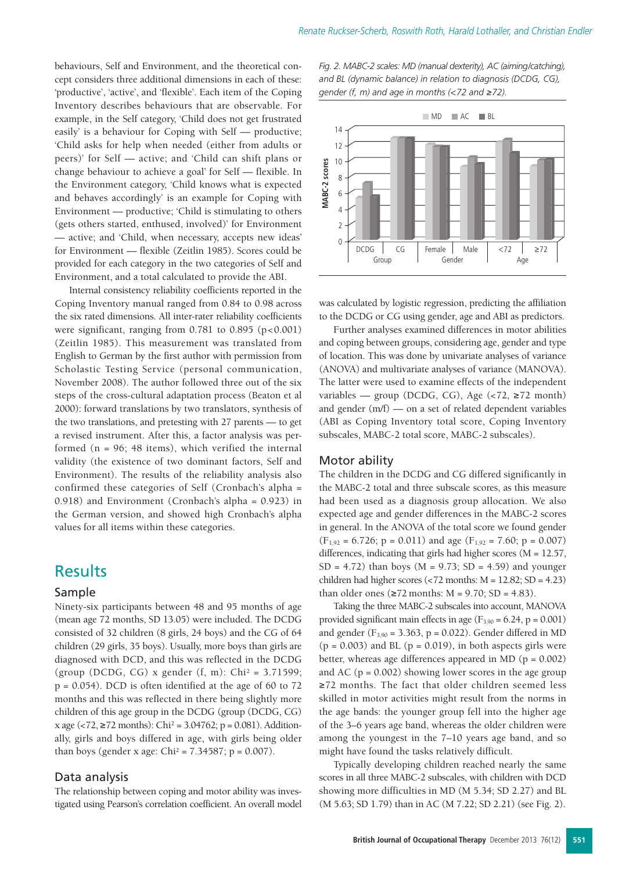behaviours, Self and Environment, and the theoretical concept considers three additional dimensions in each of these: 'productive', 'active', and 'flexible'. Each item of the Coping Inventory describes behaviours that are observable. For example, in the Self category, 'Child does not get frustrated easily' is a behaviour for Coping with Self — productive; 'Child asks for help when needed (either from adults or peers)' for Self — active; and 'Child can shift plans or change behaviour to achieve a goal' for Self — flexible. In the Environment category, 'Child knows what is expected and behaves accordingly' is an example for Coping with Environment — productive; 'Child is stimulating to others (gets others started, enthused, involved)' for Environment — active; and 'Child, when necessary, accepts new ideas' for Environment — flexible (Zeitlin 1985). Scores could be provided for each category in the two categories of Self and Environment, and a total calculated to provide the ABI.

Internal consistency reliability coefficients reported in the Coping Inventory manual ranged from 0.84 to 0.98 across the six rated dimensions. All inter-rater reliability coefficients were significant, ranging from  $0.781$  to  $0.895$  (p<0.001) (Zeitlin 1985). This measurement was translated from English to German by the first author with permission from Scholastic Testing Service (personal communication, November 2008). The author followed three out of the six steps of the cross-cultural adaptation process (Beaton et al 2000): forward translations by two translators, synthesis of the two translations, and pretesting with 27 parents — to get a revised instrument. After this, a factor analysis was performed (n = 96; 48 items), which verified the internal validity (the existence of two dominant factors, Self and Environment). The results of the reliability analysis also confirmed these categories of Self (Cronbach's alpha = 0.918) and Environment (Cronbach's alpha = 0.923) in the German version, and showed high Cronbach's alpha values for all items within these categories.

## **Results**

#### Sample

Ninety-six participants between 48 and 95 months of age (mean age 72 months, SD 13.05) were included. The DCDG consisted of 32 children (8 girls, 24 boys) and the CG of 64 children (29 girls, 35 boys). Usually, more boys than girls are diagnosed with DCD, and this was reflected in the DCDG (group (DCDG, CG) x gender  $(f, m)$ : Chi<sup>2</sup> = 3.71599;  $p = 0.054$ ). DCD is often identified at the age of 60 to 72 months and this was reflected in there being slightly more children of this age group in the DCDG (group (DCDG, CG)  $x \text{ age } (< 72, ≥ 72 months): \text{Chi}^2 = 3.04762; p = 0.081).$  Additionally, girls and boys differed in age, with girls being older than boys (gender x age: Chi<sup>2</sup> =  $7.34587$ ; p = 0.007).

#### Data analysis

The relationship between coping and motor ability was investigated using Pearson's correlation coefficient. An overall model *Fig. 2. MABC-2 scales: MD (manual dexterity), AC (aiming/catching), and BL (dynamic balance) in relation to diagnosis (DCDG, CG), gender (f, m) and age in months (<72 and* <sup>≥</sup>*72).*



was calculated by logistic regression, predicting the affiliation to the DCDG or CG using gender, age and ABI as predictors.

Further analyses examined differences in motor abilities and coping between groups, considering age, gender and type of location. This was done by univariate analyses of variance (ANOVA) and multivariate analyses of variance (MANOVA). The latter were used to examine effects of the independent variables — group (DCDG, CG), Age  $\langle$  <72,  $\ge$  72 month) and gender (m/f) — on a set of related dependent variables (ABI as Coping Inventory total score, Coping Inventory subscales, MABC-2 total score, MABC-2 subscales).

#### Motor ability

The children in the DCDG and CG differed significantly in the MABC-2 total and three subscale scores, as this measure had been used as a diagnosis group allocation. We also expected age and gender differences in the MABC-2 scores in general. In the ANOVA of the total score we found gender  $(F<sub>1,92</sub> = 6.726; p = 0.011)$  and age  $(F<sub>1,92</sub> = 7.60; p = 0.007)$ differences, indicating that girls had higher scores (M = 12.57,  $SD = 4.72$ ) than boys (M = 9.73;  $SD = 4.59$ ) and younger children had higher scores  $\left\langle \frac{72 \text{ months: M}}{12.82} \right\rangle$  SD = 4.23) than older ones  $(\geq 72 \text{ months: M} = 9.70; SD = 4.83)$ .

Taking the three MABC-2 subscales into account, MANOVA provided significant main effects in age  $(F_{3,90} = 6.24, p = 0.001)$ and gender ( $F_{3,90}$  = 3.363, p = 0.022). Gender differed in MD  $(p = 0.003)$  and BL  $(p = 0.019)$ , in both aspects girls were better, whereas age differences appeared in MD ( $p = 0.002$ ) and AC ( $p = 0.002$ ) showing lower scores in the age group ≥72 months. The fact that older children seemed less skilled in motor activities might result from the norms in the age bands: the younger group fell into the higher age of the 3–6 years age band, whereas the older children were among the youngest in the 7–10 years age band, and so might have found the tasks relatively difficult.

Typically developing children reached nearly the same scores in all three MABC-2 subscales, with children with DCD showing more difficulties in MD (M 5.34; SD 2.27) and BL (M 5.63; SD 1.79) than in AC (M 7.22; SD 2.21) (see Fig. 2).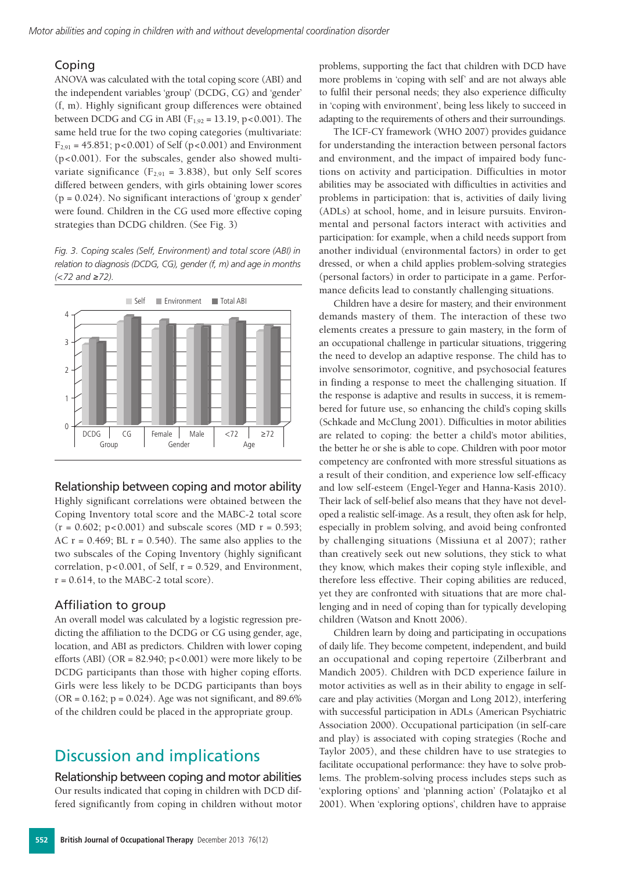## Coping

ANOVA was calculated with the total coping score (ABI) and the independent variables 'group' (DCDG, CG) and 'gender' (f, m). Highly significant group differences were obtained between DCDG and CG in ABI ( $F_{1,92} = 13.19$ , p<0.001). The same held true for the two coping categories (multivariate:  $F_{2,91} = 45.851$ ; p<0.001) of Self (p<0.001) and Environment (p<0.001). For the subscales, gender also showed multivariate significance ( $F_{2,91}$  = 3.838), but only Self scores differed between genders, with girls obtaining lower scores (p = 0.024). No significant interactions of 'group x gender' were found. Children in the CG used more effective coping strategies than DCDG children. (See Fig. 3)

*Fig. 3. Coping scales (Self, Environment) and total score (ABI) in relation to diagnosis (DCDG, CG), gender (f, m) and age in months (<72 and* <sup>≥</sup>*72).*



Relationship between coping and motor ability

Highly significant correlations were obtained between the Coping Inventory total score and the MABC-2 total score  $(r = 0.602; p < 0.001)$  and subscale scores (MD  $r = 0.593;$ AC  $r = 0.469$ ; BL  $r = 0.540$ ). The same also applies to the two subscales of the Coping Inventory (highly significant correlation,  $p < 0.001$ , of Self,  $r = 0.529$ , and Environment,  $r = 0.614$ , to the MABC-2 total score).

## Affiliation to group

An overall model was calculated by a logistic regression predicting the affiliation to the DCDG or CG using gender, age, location, and ABI as predictors. Children with lower coping efforts (ABI) (OR =  $82.940$ ; p<0.001) were more likely to be DCDG participants than those with higher coping efforts. Girls were less likely to be DCDG participants than boys  $(OR = 0.162; p = 0.024)$ . Age was not significant, and 89.6% of the children could be placed in the appropriate group.

# Discussion and implications

Relationship between coping and motor abilities Our results indicated that coping in children with DCD differed significantly from coping in children without motor problems, supporting the fact that children with DCD have more problems in 'coping with self' and are not always able to fulfil their personal needs; they also experience difficulty in 'coping with environment', being less likely to succeed in adapting to the requirements of others and their surroundings.

The ICF-CY framework (WHO 2007) provides guidance for understanding the interaction between personal factors and environment, and the impact of impaired body functions on activity and participation. Difficulties in motor abilities may be associated with difficulties in activities and problems in participation: that is, activities of daily living (ADLs) at school, home, and in leisure pursuits. Environmental and personal factors interact with activities and participation: for example, when a child needs support from another individual (environmental factors) in order to get dressed, or when a child applies problem-solving strategies (personal factors) in order to participate in a game. Performance deficits lead to constantly challenging situations.

Children have a desire for mastery, and their environment demands mastery of them. The interaction of these two elements creates a pressure to gain mastery, in the form of an occupational challenge in particular situations, triggering the need to develop an adaptive response. The child has to involve sensorimotor, cognitive, and psychosocial features in finding a response to meet the challenging situation. If the response is adaptive and results in success, it is remembered for future use, so enhancing the child's coping skills (Schkade and McClung 2001). Difficulties in motor abilities are related to coping: the better a child's motor abilities, the better he or she is able to cope. Children with poor motor competency are confronted with more stressful situations as a result of their condition, and experience low self-efficacy and low self-esteem (Engel-Yeger and Hanna-Kasis 2010). Their lack of self-belief also means that they have not developed a realistic self-image. As a result, they often ask for help, especially in problem solving, and avoid being confronted by challenging situations (Missiuna et al 2007); rather than creatively seek out new solutions, they stick to what they know, which makes their coping style inflexible, and therefore less effective. Their coping abilities are reduced, yet they are confronted with situations that are more challenging and in need of coping than for typically developing children (Watson and Knott 2006).

Children learn by doing and participating in occupations of daily life. They become competent, independent, and build an occupational and coping repertoire (Zilberbrant and Mandich 2005). Children with DCD experience failure in motor activities as well as in their ability to engage in selfcare and play activities (Morgan and Long 2012), interfering with successful participation in ADLs (American Psychiatric Association 2000). Occupational participation (in self-care and play) is associated with coping strategies (Roche and Taylor 2005), and these children have to use strategies to facilitate occupational performance: they have to solve problems. The problem-solving process includes steps such as 'exploring options' and 'planning action' (Polatajko et al 2001). When 'exploring options', children have to appraise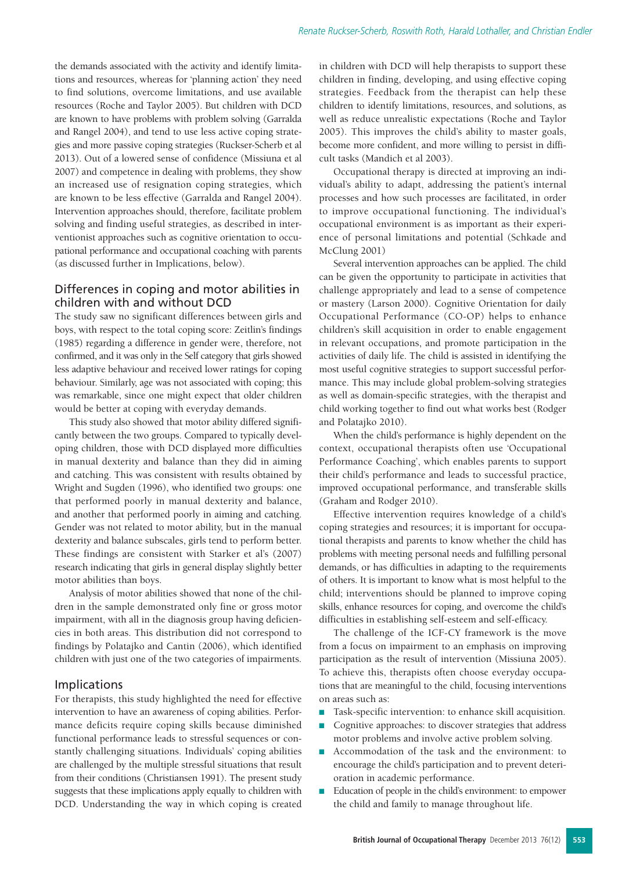the demands associated with the activity and identify limitations and resources, whereas for 'planning action' they need to find solutions, overcome limitations, and use available resources (Roche and Taylor 2005). But children with DCD are known to have problems with problem solving (Garralda and Rangel 2004), and tend to use less active coping strategies and more passive coping strategies (Ruckser-Scherb et al 2013). Out of a lowered sense of confidence (Missiuna et al 2007) and competence in dealing with problems, they show an increased use of resignation coping strategies, which are known to be less effective (Garralda and Rangel 2004). Intervention approaches should, therefore, facilitate problem solving and finding useful strategies, as described in interventionist approaches such as cognitive orientation to occupational performance and occupational coaching with parents (as discussed further in Implications, below).

## Differences in coping and motor abilities in children with and without DCD

The study saw no significant differences between girls and boys, with respect to the total coping score: Zeitlin's findings (1985) regarding a difference in gender were, therefore, not confirmed, and it was only in the Self category that girls showed less adaptive behaviour and received lower ratings for coping behaviour. Similarly, age was not associated with coping; this was remarkable, since one might expect that older children would be better at coping with everyday demands.

This study also showed that motor ability differed significantly between the two groups. Compared to typically developing children, those with DCD displayed more difficulties in manual dexterity and balance than they did in aiming and catching. This was consistent with results obtained by Wright and Sugden (1996), who identified two groups: one that performed poorly in manual dexterity and balance, and another that performed poorly in aiming and catching. Gender was not related to motor ability, but in the manual dexterity and balance subscales, girls tend to perform better. These findings are consistent with Starker et al's (2007) research indicating that girls in general display slightly better motor abilities than boys.

Analysis of motor abilities showed that none of the children in the sample demonstrated only fine or gross motor impairment, with all in the diagnosis group having deficiencies in both areas. This distribution did not correspond to findings by Polatajko and Cantin (2006), which identified children with just one of the two categories of impairments.

#### Implications

For therapists, this study highlighted the need for effective intervention to have an awareness of coping abilities. Performance deficits require coping skills because diminished functional performance leads to stressful sequences or constantly challenging situations. Individuals' coping abilities are challenged by the multiple stressful situations that result from their conditions (Christiansen 1991). The present study suggests that these implications apply equally to children with DCD. Understanding the way in which coping is created in children with DCD will help therapists to support these children in finding, developing, and using effective coping strategies. Feedback from the therapist can help these children to identify limitations, resources, and solutions, as well as reduce unrealistic expectations (Roche and Taylor 2005). This improves the child's ability to master goals, become more confident, and more willing to persist in difficult tasks (Mandich et al 2003).

Occupational therapy is directed at improving an individual's ability to adapt, addressing the patient's internal processes and how such processes are facilitated, in order to improve occupational functioning. The individual's occupational environment is as important as their experience of personal limitations and potential (Schkade and McClung 2001)

Several intervention approaches can be applied. The child can be given the opportunity to participate in activities that challenge appropriately and lead to a sense of competence or mastery (Larson 2000). Cognitive Orientation for daily Occupational Performance (CO-OP) helps to enhance children's skill acquisition in order to enable engagement in relevant occupations, and promote participation in the activities of daily life. The child is assisted in identifying the most useful cognitive strategies to support successful performance. This may include global problem-solving strategies as well as domain-specific strategies, with the therapist and child working together to find out what works best (Rodger and Polatajko 2010).

When the child's performance is highly dependent on the context, occupational therapists often use 'Occupational Performance Coaching', which enables parents to support their child's performance and leads to successful practice, improved occupational performance, and transferable skills (Graham and Rodger 2010).

Effective intervention requires knowledge of a child's coping strategies and resources; it is important for occupational therapists and parents to know whether the child has problems with meeting personal needs and fulfilling personal demands, or has difficulties in adapting to the requirements of others. It is important to know what is most helpful to the child; interventions should be planned to improve coping skills, enhance resources for coping, and overcome the child's difficulties in establishing self-esteem and self-efficacy.

The challenge of the ICF-CY framework is the move from a focus on impairment to an emphasis on improving participation as the result of intervention (Missiuna 2005). To achieve this, therapists often choose everyday occupations that are meaningful to the child, focusing interventions on areas such as:

- Task-specific intervention: to enhance skill acquisition.
- Cognitive approaches: to discover strategies that address motor problems and involve active problem solving.
- Accommodation of the task and the environment: to encourage the child's participation and to prevent deterioration in academic performance.
- Education of people in the child's environment: to empower the child and family to manage throughout life.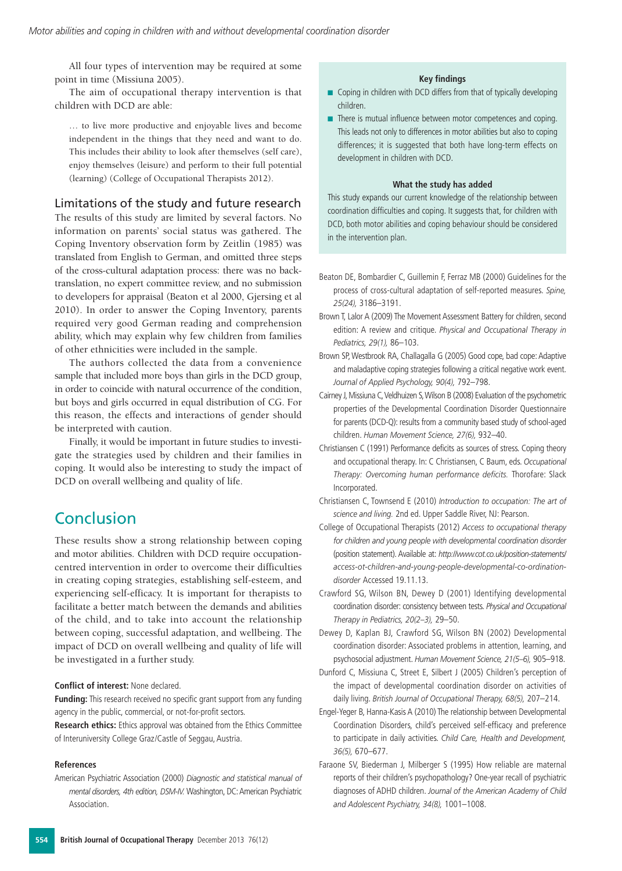All four types of intervention may be required at some point in time (Missiuna 2005).

The aim of occupational therapy intervention is that children with DCD are able:

… to live more productive and enjoyable lives and become independent in the things that they need and want to do. This includes their ability to look after themselves (self care), enjoy themselves (leisure) and perform to their full potential (learning) (College of Occupational Therapists 2012).

## Limitations of the study and future research

The results of this study are limited by several factors. No information on parents' social status was gathered. The Coping Inventory observation form by Zeitlin (1985) was translated from English to German, and omitted three steps of the cross-cultural adaptation process: there was no backtranslation, no expert committee review, and no submission to developers for appraisal (Beaton et al 2000, Gjersing et al 2010). In order to answer the Coping Inventory, parents required very good German reading and comprehension ability, which may explain why few children from families of other ethnicities were included in the sample.

The authors collected the data from a convenience sample that included more boys than girls in the DCD group, in order to coincide with natural occurrence of the condition, but boys and girls occurred in equal distribution of CG. For this reason, the effects and interactions of gender should be interpreted with caution.

Finally, it would be important in future studies to investigate the strategies used by children and their families in coping. It would also be interesting to study the impact of DCD on overall wellbeing and quality of life.

# Conclusion

These results show a strong relationship between coping and motor abilities. Children with DCD require occupationcentred intervention in order to overcome their difficulties in creating coping strategies, establishing self-esteem, and experiencing self-efficacy. It is important for therapists to facilitate a better match between the demands and abilities of the child, and to take into account the relationship between coping, successful adaptation, and wellbeing. The impact of DCD on overall wellbeing and quality of life will be investigated in a further study.

#### **Conflict of interest:** None declared.

**Funding:** This research received no specific grant support from any funding agency in the public, commercial, or not-for-profit sectors.

**Research ethics:** Ethics approval was obtained from the Ethics Committee of Interuniversity College Graz/Castle of Seggau, Austria.

#### **References**

American Psychiatric Association (2000) *Diagnostic and statistical manual of mental disorders, 4th edition, DSM-IV.* Washington, DC:American Psychiatric Association.

#### **Key findings**

- Coping in children with DCD differs from that of typically developing children.
- **■** There is mutual influence between motor competences and coping. This leads not only to differences in motor abilities but also to coping differences; it is suggested that both have long-term effects on development in children with DCD.

#### **What the study has added**

This study expands our current knowledge of the relationship between coordination difficulties and coping. It suggests that, for children with DCD, both motor abilities and coping behaviour should be considered in the intervention plan.

- Beaton DE, Bombardier C, Guillemin F, Ferraz MB (2000) Guidelines for the process of cross-cultural adaptation of self-reported measures. *Spine, 25(24),* 3186–3191.
- Brown T, Lalor A (2009) The Movement Assessment Battery for children, second edition: A review and critique. *Physical and Occupational Therapy in Pediatrics, 29(1),* 86–103.
- Brown SP, Westbrook RA, Challagalla G (2005) Good cope, bad cope: Adaptive and maladaptive coping strategies following a critical negative work event. *Journal of Applied Psychology, 90(4),* 792–798.
- Cairney J, Missiuna C, Veldhuizen S, Wilson B (2008) Evaluation of the psychometric properties of the Developmental Coordination Disorder Questionnaire for parents (DCD-Q): results from a community based study of school-aged children. *Human Movement Science, 27(6),* 932–40.
- Christiansen C (1991) Performance deficits as sources of stress. Coping theory and occupational therapy. In: C Christiansen, C Baum, eds. *Occupational Therapy: Overcoming human performance deficits.* Thorofare: Slack Incorporated.
- Christiansen C, Townsend E (2010) *Introduction to occupation: The art of science and living.* 2nd ed. Upper Saddle River, NJ: Pearson.
- College of Occupational Therapists (2012) *Access to occupational therapy for children and young people with developmental coordination disorder* (position statement). Available at: *http://www.cot.co.uk/position-statements/ access-ot-children-and-young-people-developmental-co-ordinationdisorder* Accessed 19.11.13.
- Crawford SG, Wilson BN, Dewey D (2001) Identifying developmental coordination disorder:consistency between tests. *Physical and Occupational Therapy in Pediatrics, 20(2–3),* 29–50.
- Dewey D, Kaplan BJ, Crawford SG, Wilson BN (2002) Developmental coordination disorder: Associated problems in attention, learning, and psychosocial adjustment. *Human Movement Science, 21(5–6),* 905–918.
- Dunford C, Missiuna C, Street E, Silbert J (2005) Children's perception of the impact of developmental coordination disorder on activities of daily living. *British Journal of Occupational Therapy, 68(5),* 207–214.
- Engel-Yeger B, Hanna-Kasis A (2010) The relationship between Developmental Coordination Disorders, child's perceived self-efficacy and preference to participate in daily activities. *Child Care, Health and Development, 36(5),* 670–677.
- Faraone SV, Biederman J, Milberger S (1995) How reliable are maternal reports of their children's psychopathology? One-year recall of psychiatric diagnoses of ADHD children. *Journal of the American Academy of Child and Adolescent Psychiatry, 34(8),* 1001–1008.